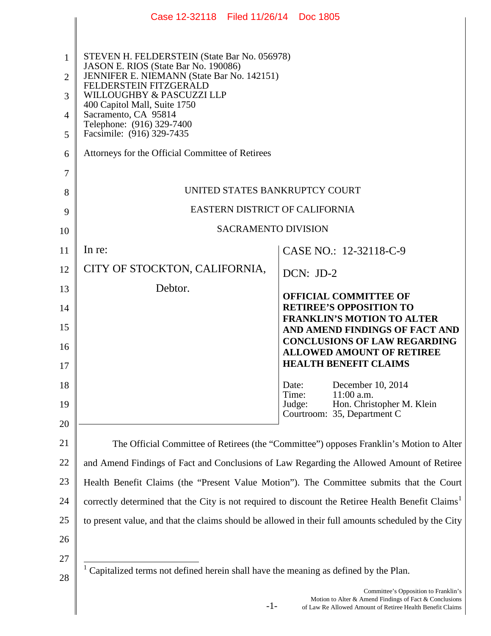|                       | Case 12-32118 Filed 11/26/14 Doc 1805                                                                                                                                                                                                                                                                       |                                                                                                                                                             |
|-----------------------|-------------------------------------------------------------------------------------------------------------------------------------------------------------------------------------------------------------------------------------------------------------------------------------------------------------|-------------------------------------------------------------------------------------------------------------------------------------------------------------|
| 1<br>2<br>3<br>4<br>5 | STEVEN H. FELDERSTEIN (State Bar No. 056978)<br>JASON E. RIOS (State Bar No. 190086)<br>JENNIFER E. NIEMANN (State Bar No. 142151)<br>FELDERSTEIN FITZGERALD<br>WILLOUGHBY & PASCUZZI LLP<br>400 Capitol Mall, Suite 1750<br>Sacramento, CA 95814<br>Telephone: (916) 329-7400<br>Facsimile: (916) 329-7435 |                                                                                                                                                             |
| 6                     | Attorneys for the Official Committee of Retirees                                                                                                                                                                                                                                                            |                                                                                                                                                             |
| 7                     | UNITED STATES BANKRUPTCY COURT                                                                                                                                                                                                                                                                              |                                                                                                                                                             |
| 8                     | EASTERN DISTRICT OF CALIFORNIA                                                                                                                                                                                                                                                                              |                                                                                                                                                             |
| 9<br>10               | <b>SACRAMENTO DIVISION</b>                                                                                                                                                                                                                                                                                  |                                                                                                                                                             |
| 11                    | In re:                                                                                                                                                                                                                                                                                                      | CASE NO.: 12-32118-C-9                                                                                                                                      |
| 12                    | CITY OF STOCKTON, CALIFORNIA,                                                                                                                                                                                                                                                                               | DCN: JD-2                                                                                                                                                   |
| 13                    | Debtor.                                                                                                                                                                                                                                                                                                     | <b>OFFICIAL COMMITTEE OF</b>                                                                                                                                |
| 14                    |                                                                                                                                                                                                                                                                                                             | <b>RETIREE'S OPPOSITION TO</b><br><b>FRANKLIN'S MOTION TO ALTER</b>                                                                                         |
| 15<br>16              |                                                                                                                                                                                                                                                                                                             | AND AMEND FINDINGS OF FACT AND<br><b>CONCLUSIONS OF LAW REGARDING</b><br><b>ALLOWED AMOUNT OF RETIREE</b>                                                   |
| 17                    |                                                                                                                                                                                                                                                                                                             | <b>HEALTH BENEFIT CLAIMS</b>                                                                                                                                |
| 18                    |                                                                                                                                                                                                                                                                                                             | December 10, 2014<br>Date:<br>Time:<br>$11:00$ a.m.<br>Judge:<br>Hon. Christopher M. Klein                                                                  |
| 19<br>20              |                                                                                                                                                                                                                                                                                                             | Courtroom: 35, Department C                                                                                                                                 |
| 21                    | The Official Committee of Retirees (the "Committee") opposes Franklin's Motion to Alter                                                                                                                                                                                                                     |                                                                                                                                                             |
| 22                    | and Amend Findings of Fact and Conclusions of Law Regarding the Allowed Amount of Retiree                                                                                                                                                                                                                   |                                                                                                                                                             |
| 23                    | Health Benefit Claims (the "Present Value Motion"). The Committee submits that the Court                                                                                                                                                                                                                    |                                                                                                                                                             |
| 24                    | correctly determined that the City is not required to discount the Retiree Health Benefit Claims <sup>1</sup>                                                                                                                                                                                               |                                                                                                                                                             |
| 25                    | to present value, and that the claims should be allowed in their full amounts scheduled by the City                                                                                                                                                                                                         |                                                                                                                                                             |
| 26                    |                                                                                                                                                                                                                                                                                                             |                                                                                                                                                             |
| 27<br>28              | Capitalized terms not defined herein shall have the meaning as defined by the Plan.                                                                                                                                                                                                                         |                                                                                                                                                             |
|                       | $-1-$                                                                                                                                                                                                                                                                                                       | Committee's Opposition to Franklin's<br>Motion to Alter & Amend Findings of Fact & Conclusions<br>of Law Re Allowed Amount of Retiree Health Benefit Claims |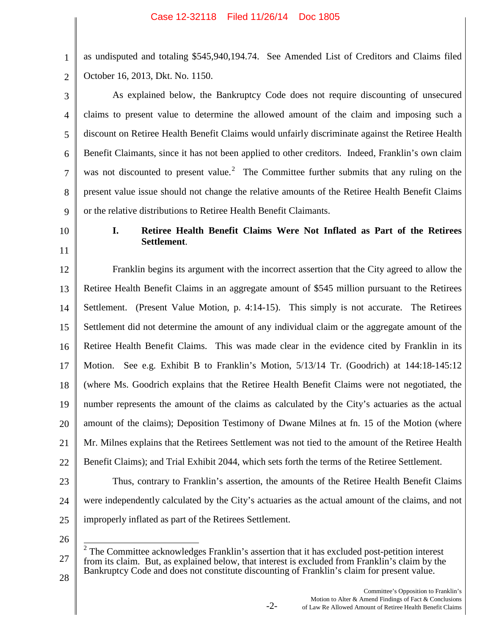as undisputed and totaling \$545,940,194.74. See Amended List of Creditors and Claims filed October 16, 2013, Dkt. No. 1150.

3 4 5 6 7 8 9 As explained below, the Bankruptcy Code does not require discounting of unsecured claims to present value to determine the allowed amount of the claim and imposing such a discount on Retiree Health Benefit Claims would unfairly discriminate against the Retiree Health Benefit Claimants, since it has not been applied to other creditors. Indeed, Franklin's own claim was not discounted to present value.<sup>2</sup> The Committee further submits that any ruling on the present value issue should not change the relative amounts of the Retiree Health Benefit Claims or the relative distributions to Retiree Health Benefit Claimants.

10

11

1

2

### **I. Retiree Health Benefit Claims Were Not Inflated as Part of the Retirees Settlement**.

12 13 14 15 16 17 18 19 20 21 22 Franklin begins its argument with the incorrect assertion that the City agreed to allow the Retiree Health Benefit Claims in an aggregate amount of \$545 million pursuant to the Retirees Settlement. (Present Value Motion, p. 4:14-15). This simply is not accurate. The Retirees Settlement did not determine the amount of any individual claim or the aggregate amount of the Retiree Health Benefit Claims. This was made clear in the evidence cited by Franklin in its Motion. See e.g. Exhibit B to Franklin's Motion, 5/13/14 Tr. (Goodrich) at 144:18-145:12 (where Ms. Goodrich explains that the Retiree Health Benefit Claims were not negotiated, the number represents the amount of the claims as calculated by the City's actuaries as the actual amount of the claims); Deposition Testimony of Dwane Milnes at fn. 15 of the Motion (where Mr. Milnes explains that the Retirees Settlement was not tied to the amount of the Retiree Health Benefit Claims); and Trial Exhibit 2044, which sets forth the terms of the Retiree Settlement. Thus, contrary to Franklin's assertion, the amounts of the Retiree Health Benefit Claims

- 23
- 24 25
- 26 27  $2$  The Committee acknowledges Franklin's assertion that it has excluded post-petition interest

improperly inflated as part of the Retirees Settlement.

from its claim. But, as explained below, that interest is excluded from Franklin's claim by the Bankruptcy Code and does not constitute discounting of Franklin's claim for present value.

-2-

were independently calculated by the City's actuaries as the actual amount of the claims, and not

Committee's Opposition to Franklin's Motion to Alter & Amend Findings of Fact & Conclusions of Law Re Allowed Amount of Retiree Health Benefit Claims

28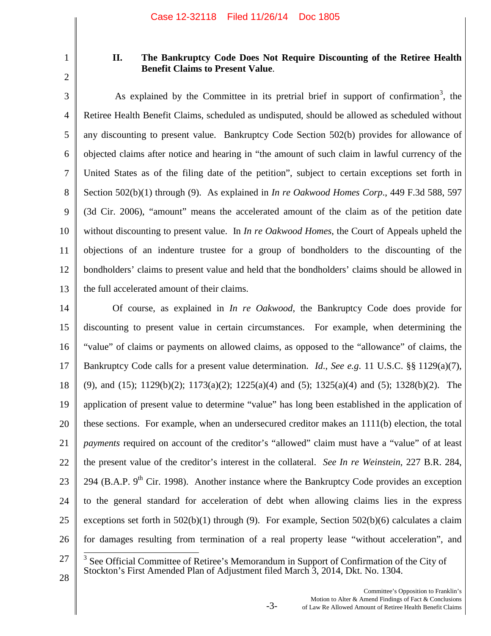1 2

## **II. The Bankruptcy Code Does Not Require Discounting of the Retiree Health Benefit Claims to Present Value**.

3 4 5 6 7 8 9 10 11 12 13 As explained by the Committee in its pretrial brief in support of confirmation<sup>3</sup>, the Retiree Health Benefit Claims, scheduled as undisputed, should be allowed as scheduled without any discounting to present value. Bankruptcy Code Section 502(b) provides for allowance of objected claims after notice and hearing in "the amount of such claim in lawful currency of the United States as of the filing date of the petition", subject to certain exceptions set forth in Section 502(b)(1) through (9). As explained in *In re Oakwood Homes Corp*., 449 F.3d 588, 597 (3d Cir. 2006), "amount" means the accelerated amount of the claim as of the petition date without discounting to present value. In *In re Oakwood Homes*, the Court of Appeals upheld the objections of an indenture trustee for a group of bondholders to the discounting of the bondholders' claims to present value and held that the bondholders' claims should be allowed in the full accelerated amount of their claims.

14 15 16 17 18 19 20 21 22 23 24 25 26 Of course, as explained in *In re Oakwood*, the Bankruptcy Code does provide for discounting to present value in certain circumstances. For example, when determining the "value" of claims or payments on allowed claims, as opposed to the "allowance" of claims, the Bankruptcy Code calls for a present value determination. *Id*., *See e.g*. 11 U.S.C. §§ 1129(a)(7), (9), and (15); 1129(b)(2); 1173(a)(2); 1225(a)(4) and (5); 1325(a)(4) and (5); 1328(b)(2). The application of present value to determine "value" has long been established in the application of these sections. For example, when an undersecured creditor makes an 1111(b) election, the total *payments* required on account of the creditor's "allowed" claim must have a "value" of at least the present value of the creditor's interest in the collateral. *See In re Weinstein*, 227 B.R. 284, 294 (B.A.P.  $9<sup>th</sup>$  Cir. 1998). Another instance where the Bankruptcy Code provides an exception to the general standard for acceleration of debt when allowing claims lies in the express exceptions set forth in  $502(b)(1)$  through (9). For example, Section  $502(b)(6)$  calculates a claim for damages resulting from termination of a real property lease "without acceleration", and

 $3$  See Official Committee of Retiree's Memorandum in Support of Confirmation of the City of Stockton's First Amended Plan of Adjustment filed March 3, 2014, Dkt. No. 1304.

27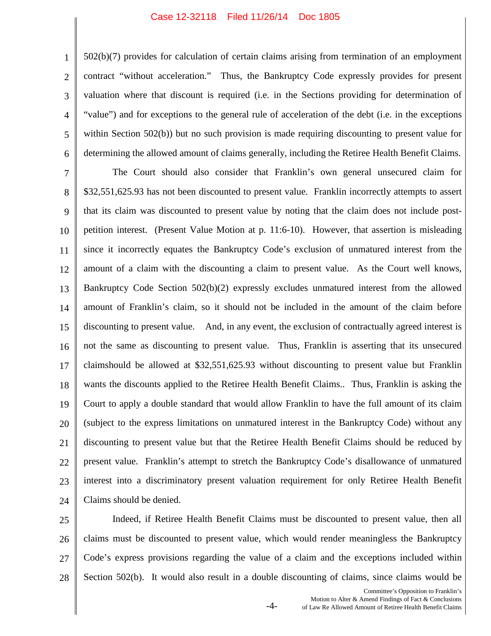#### Case 12-32118 Filed 11/26/14 Doc 1805

1

2

3

4

5

6

502(b)(7) provides for calculation of certain claims arising from termination of an employment contract "without acceleration." Thus, the Bankruptcy Code expressly provides for present valuation where that discount is required (i.e. in the Sections providing for determination of "value") and for exceptions to the general rule of acceleration of the debt (i.e. in the exceptions within Section 502(b)) but no such provision is made requiring discounting to present value for determining the allowed amount of claims generally, including the Retiree Health Benefit Claims.

7 8 9 10 11 12 13 14 15 16 17 18 19 20 21 22 23 24 The Court should also consider that Franklin's own general unsecured claim for \$32,551,625.93 has not been discounted to present value. Franklin incorrectly attempts to assert that its claim was discounted to present value by noting that the claim does not include postpetition interest. (Present Value Motion at p. 11:6-10). However, that assertion is misleading since it incorrectly equates the Bankruptcy Code's exclusion of unmatured interest from the amount of a claim with the discounting a claim to present value. As the Court well knows, Bankruptcy Code Section 502(b)(2) expressly excludes unmatured interest from the allowed amount of Franklin's claim, so it should not be included in the amount of the claim before discounting to present value. And, in any event, the exclusion of contractually agreed interest is not the same as discounting to present value. Thus, Franklin is asserting that its unsecured claimshould be allowed at \$32,551,625.93 without discounting to present value but Franklin wants the discounts applied to the Retiree Health Benefit Claims.. Thus, Franklin is asking the Court to apply a double standard that would allow Franklin to have the full amount of its claim (subject to the express limitations on unmatured interest in the Bankruptcy Code) without any discounting to present value but that the Retiree Health Benefit Claims should be reduced by present value. Franklin's attempt to stretch the Bankruptcy Code's disallowance of unmatured interest into a discriminatory present valuation requirement for only Retiree Health Benefit Claims should be denied.

25 26 27 28 Indeed, if Retiree Health Benefit Claims must be discounted to present value, then all claims must be discounted to present value, which would render meaningless the Bankruptcy Code's express provisions regarding the value of a claim and the exceptions included within Section 502(b). It would also result in a double discounting of claims, since claims would be

-4-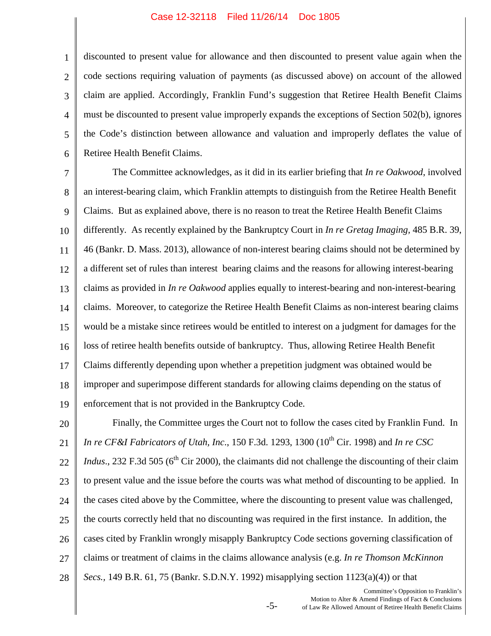#### Case 12-32118 Filed 11/26/14 Doc 1805

1 2 3 4 5 6 discounted to present value for allowance and then discounted to present value again when the code sections requiring valuation of payments (as discussed above) on account of the allowed claim are applied. Accordingly, Franklin Fund's suggestion that Retiree Health Benefit Claims must be discounted to present value improperly expands the exceptions of Section 502(b), ignores the Code's distinction between allowance and valuation and improperly deflates the value of Retiree Health Benefit Claims.

7 8 9 10 11 12 13 14 15 16 17 18 19 The Committee acknowledges, as it did in its earlier briefing that *In re Oakwood*, involved an interest-bearing claim, which Franklin attempts to distinguish from the Retiree Health Benefit Claims. But as explained above, there is no reason to treat the Retiree Health Benefit Claims differently. As recently explained by the Bankruptcy Court in *In re Gretag Imaging,* 485 B.R. 39, 46 (Bankr. D. Mass. 2013), allowance of non-interest bearing claims should not be determined by a different set of rules than interest bearing claims and the reasons for allowing interest-bearing claims as provided in *In re Oakwood* applies equally to interest-bearing and non-interest-bearing claims. Moreover, to categorize the Retiree Health Benefit Claims as non-interest bearing claims would be a mistake since retirees would be entitled to interest on a judgment for damages for the loss of retiree health benefits outside of bankruptcy. Thus, allowing Retiree Health Benefit Claims differently depending upon whether a prepetition judgment was obtained would be improper and superimpose different standards for allowing claims depending on the status of enforcement that is not provided in the Bankruptcy Code.

20 21 22 23 24 25 26 27 28 Finally, the Committee urges the Court not to follow the cases cited by Franklin Fund. In *In re CF&I Fabricators of Utah, Inc., 150 F.3d. 1293, 1300 (10<sup>th</sup> Cir. 1998) and <i>In re CSC Indus*., 232 F.3d 505 ( $6<sup>th</sup>$  Cir 2000), the claimants did not challenge the discounting of their claim to present value and the issue before the courts was what method of discounting to be applied. In the cases cited above by the Committee, where the discounting to present value was challenged, the courts correctly held that no discounting was required in the first instance. In addition, the cases cited by Franklin wrongly misapply Bankruptcy Code sections governing classification of claims or treatment of claims in the claims allowance analysis (e.g. *In re Thomson McKinnon Secs.,* 149 B.R. 61, 75 (Bankr. S.D.N.Y. 1992) misapplying section 1123(a)(4)) or that

-5-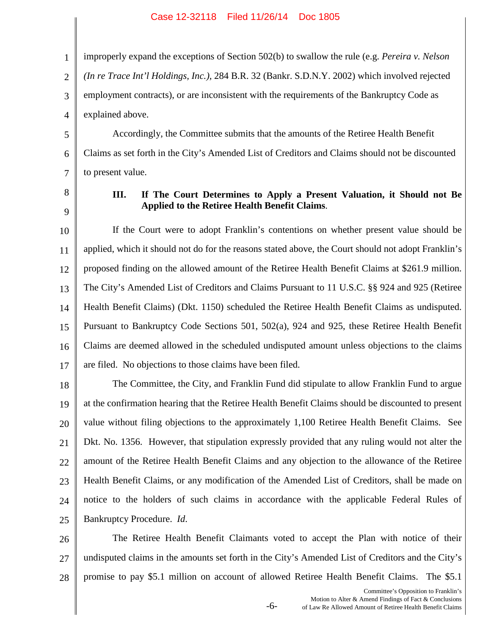1 2 3 4 improperly expand the exceptions of Section 502(b) to swallow the rule (e.g. *Pereira v. Nelson (In re Trace Int'l Holdings, Inc.),* 284 B.R. 32 (Bankr. S.D.N.Y. 2002) which involved rejected employment contracts), or are inconsistent with the requirements of the Bankruptcy Code as explained above.

5 6 7 Accordingly, the Committee submits that the amounts of the Retiree Health Benefit Claims as set forth in the City's Amended List of Creditors and Claims should not be discounted to present value.

8 9

#### **III. If The Court Determines to Apply a Present Valuation, it Should not Be Applied to the Retiree Health Benefit Claims**.

10 11 12 13 14 15 16 17 If the Court were to adopt Franklin's contentions on whether present value should be applied, which it should not do for the reasons stated above, the Court should not adopt Franklin's proposed finding on the allowed amount of the Retiree Health Benefit Claims at \$261.9 million. The City's Amended List of Creditors and Claims Pursuant to 11 U.S.C. §§ 924 and 925 (Retiree Health Benefit Claims) (Dkt. 1150) scheduled the Retiree Health Benefit Claims as undisputed. Pursuant to Bankruptcy Code Sections 501, 502(a), 924 and 925, these Retiree Health Benefit Claims are deemed allowed in the scheduled undisputed amount unless objections to the claims are filed. No objections to those claims have been filed.

18 19 20 21 22 23 24 25 The Committee, the City, and Franklin Fund did stipulate to allow Franklin Fund to argue at the confirmation hearing that the Retiree Health Benefit Claims should be discounted to present value without filing objections to the approximately 1,100 Retiree Health Benefit Claims. See Dkt. No. 1356. However, that stipulation expressly provided that any ruling would not alter the amount of the Retiree Health Benefit Claims and any objection to the allowance of the Retiree Health Benefit Claims, or any modification of the Amended List of Creditors, shall be made on notice to the holders of such claims in accordance with the applicable Federal Rules of Bankruptcy Procedure. *Id*.

26 27 28 The Retiree Health Benefit Claimants voted to accept the Plan with notice of their undisputed claims in the amounts set forth in the City's Amended List of Creditors and the City's promise to pay \$5.1 million on account of allowed Retiree Health Benefit Claims. The \$5.1

-6-